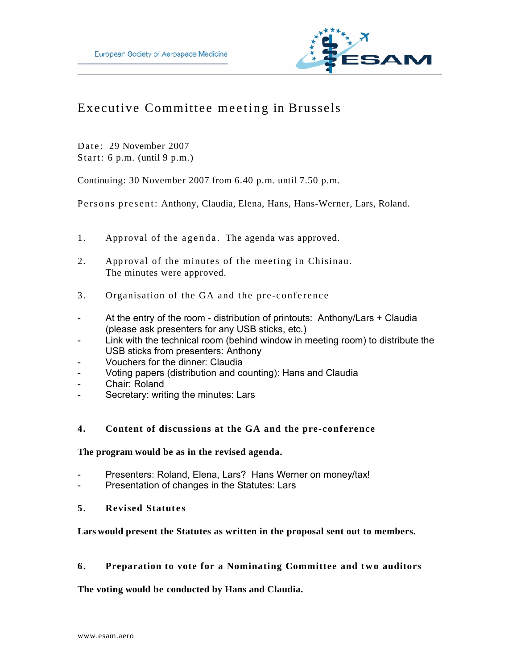

# Executive Committee meeting in Brussels

Date: 29 November 2007 Start: 6 p.m. (until  $9$  p.m.)

Continuing: 30 November 2007 from 6.40 p.m. until 7.50 p.m.

Persons p resent: Anthony, Claudia, Elena, Hans, Hans-Werner, Lars, Roland.

- 1. Approval of the agenda. The agenda was approved.
- 2. Approval of the minutes of the meeting in Chisinau. The minutes were approved.
- 3. Organisation of the GA and the pre -conference
- At the entry of the room distribution of printouts: Anthony/Lars + Claudia (please ask presenters for any USB sticks, etc.)
- Link with the technical room (behind window in meeting room) to distribute the USB sticks from presenters: Anthony
- Vouchers for the dinner: Claudia
- Voting papers (distribution and counting): Hans and Claudia
- Chair: Roland
- Secretary: writing the minutes: Lars

### **4. Content of discussions at the GA and the pre-conference**

### **The program would be as in the revised agenda.**

- Presenters: Roland, Elena, Lars? Hans Werner on money/tax!
- Presentation of changes in the Statutes: Lars
- **5. Revised Statutes**

# **Lars would present the Statutes as written in the proposal sent out to members.**

# **6. Preparation to vote for a Nominating Committee and two auditors**

### **The voting would be conducted by Hans and Claudia.**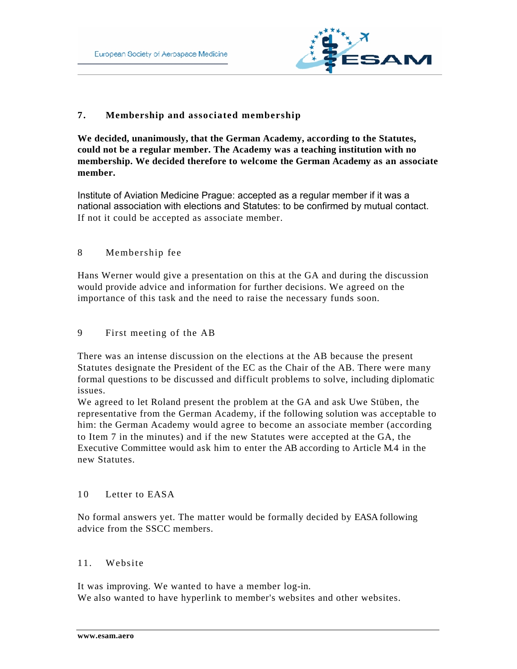

# **7. Membership and associated membership**

**We decided, unanimously, that the German Academy, according to the Statutes, could not be a regular member. The Academy was a teaching institution with no membership. We decided therefore to welcome the German Academy as an associate member.** 

Institute of Aviation Medicine Prague: accepted as a regular member if it was a national association with elections and Statutes: to be confirmed by mutual contact. If not it could be accepted as associate member.

# 8 Membership fee

Hans Werner would give a presentation on this at the GA and during the discussion would provide advice and information for further decisions. We agreed on the importance of this task and the need to raise the necessary funds soon.

### 9 First meeting of the AB

There was an intense discussion on the elections at the AB because the present Statutes designate the President of the EC as the Chair of the AB. There were many formal questions to be discussed and difficult problems to solve, including diplomatic issues.

We agreed to let Roland present the problem at the GA and ask Uwe Stüben, the representative from the German Academy, if the following solution was acceptable to him: the German Academy would agree to become an associate member (according to Item 7 in the minutes) and if the new Statutes were accepted at the GA, the Executive Committee would ask him to enter the AB according to Article M.4 in the new Statutes.

### 10 Letter to EASA

No formal answers yet. The matter would be formally decided by EASA following advice from the SSCC members.

### 11. Website

It was improving. We wanted to have a member log-in. We also wanted to have hyperlink to member's websites and other websites.